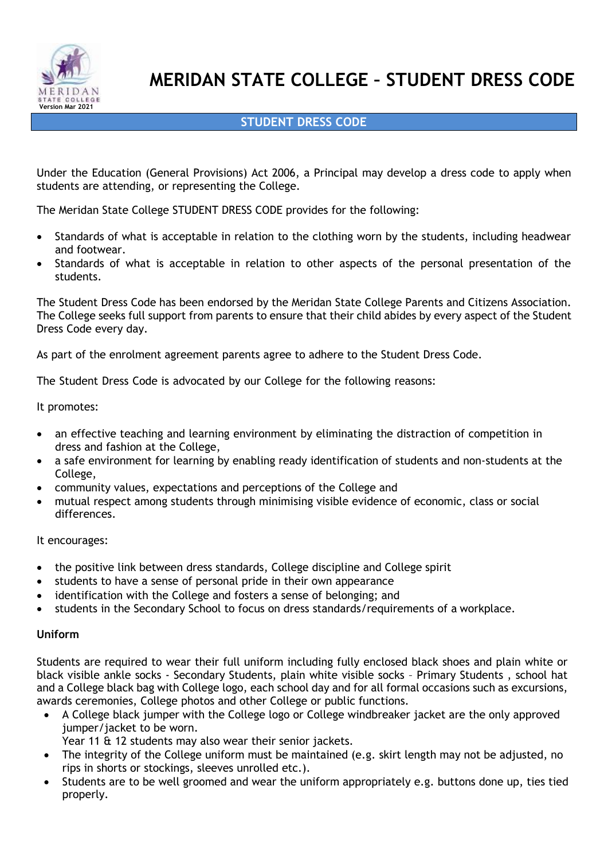

# **MERIDAN STATE COLLEGE – STUDENT DRESS CODE**

# **STUDENT DRESS CODE**

Under the Education (General Provisions) Act 2006, a Principal may develop a dress code to apply when students are attending, or representing the College.

The Meridan State College STUDENT DRESS CODE provides for the following:

- Standards of what is acceptable in relation to the clothing worn by the students, including headwear and footwear.
- Standards of what is acceptable in relation to other aspects of the personal presentation of the students.

The Student Dress Code has been endorsed by the Meridan State College Parents and Citizens Association. The College seeks full support from parents to ensure that their child abides by every aspect of the Student Dress Code every day.

As part of the enrolment agreement parents agree to adhere to the Student Dress Code.

The Student Dress Code is advocated by our College for the following reasons:

It promotes:

- an effective teaching and learning environment by eliminating the distraction of competition in dress and fashion at the College,
- a safe environment for learning by enabling ready identification of students and non-students at the College,
- community values, expectations and perceptions of the College and
- mutual respect among students through minimising visible evidence of economic, class or social differences.

It encourages:

- the positive link between dress standards, College discipline and College spirit
- students to have a sense of personal pride in their own appearance
- identification with the College and fosters a sense of belonging; and
- students in the Secondary School to focus on dress standards/requirements of a workplace.

#### **Uniform**

Students are required to wear their full uniform including fully enclosed black shoes and plain white or black visible ankle socks - Secondary Students, plain white visible socks – Primary Students , school hat and a College black bag with College logo, each school day and for all formal occasions such as excursions, awards ceremonies, College photos and other College or public functions.

• A College black jumper with the College logo or College windbreaker jacket are the only approved jumper/jacket to be worn.

Year 11 & 12 students may also wear their senior jackets.

- The integrity of the College uniform must be maintained (e.g. skirt length may not be adjusted, no rips in shorts or stockings, sleeves unrolled etc.).
- Students are to be well groomed and wear the uniform appropriately e.g. buttons done up, ties tied properly.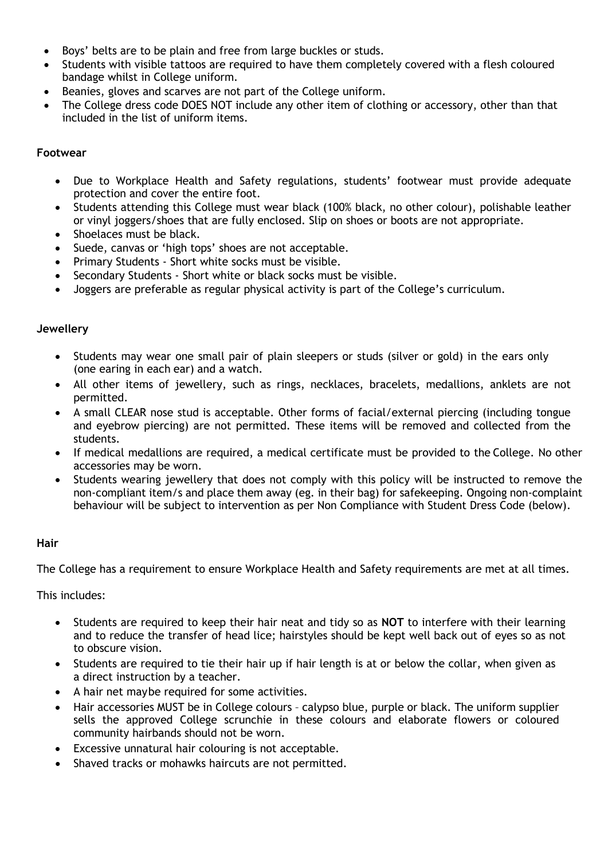- Boys' belts are to be plain and free from large buckles or studs.
- Students with visible tattoos are required to have them completely covered with a flesh coloured bandage whilst in College uniform.
- Beanies, gloves and scarves are not part of the College uniform.
- The College dress code DOES NOT include any other item of clothing or accessory, other than that included in the list of uniform items.

#### **Footwear**

- Due to Workplace Health and Safety regulations, students' footwear must provide adequate protection and cover the entire foot.
- Students attending this College must wear black (100% black, no other colour), polishable leather or vinyl joggers/shoes that are fully enclosed. Slip on shoes or boots are not appropriate.
- Shoelaces must be black.
- Suede, canvas or 'high tops' shoes are not acceptable.
- Primary Students Short white socks must be visible.
- Secondary Students Short white or black socks must be visible.
- Joggers are preferable as regular physical activity is part of the College's curriculum.

#### **Jewellery**

- Students may wear one small pair of plain sleepers or studs (silver or gold) in the ears only (one earing in each ear) and a watch.
- All other items of jewellery, such as rings, necklaces, bracelets, medallions, anklets are not permitted.
- A small CLEAR nose stud is acceptable. Other forms of facial/external piercing (including tongue and eyebrow piercing) are not permitted. These items will be removed and collected from the students.
- If medical medallions are required, a medical certificate must be provided to the College. No other accessories may be worn.
- Students wearing jewellery that does not comply with this policy will be instructed to remove the non-compliant item/s and place them away (eg. in their bag) for safekeeping. Ongoing non-complaint behaviour will be subject to intervention as per Non Compliance with Student Dress Code (below).

#### **Hair**

The College has a requirement to ensure Workplace Health and Safety requirements are met at all times.

This includes:

- Students are required to keep their hair neat and tidy so as **NOT** to interfere with their learning and to reduce the transfer of head lice; hairstyles should be kept well back out of eyes so as not to obscure vision.
- Students are required to tie their hair up if hair length is at or below the collar, when given as a direct instruction by a teacher.
- A hair net maybe required for some activities.
- Hair accessories MUST be in College colours calypso blue, purple or black. The uniform supplier sells the approved College scrunchie in these colours and elaborate flowers or coloured community hairbands should not be worn.
- Excessive unnatural hair colouring is not acceptable.
- Shaved tracks or mohawks haircuts are not permitted.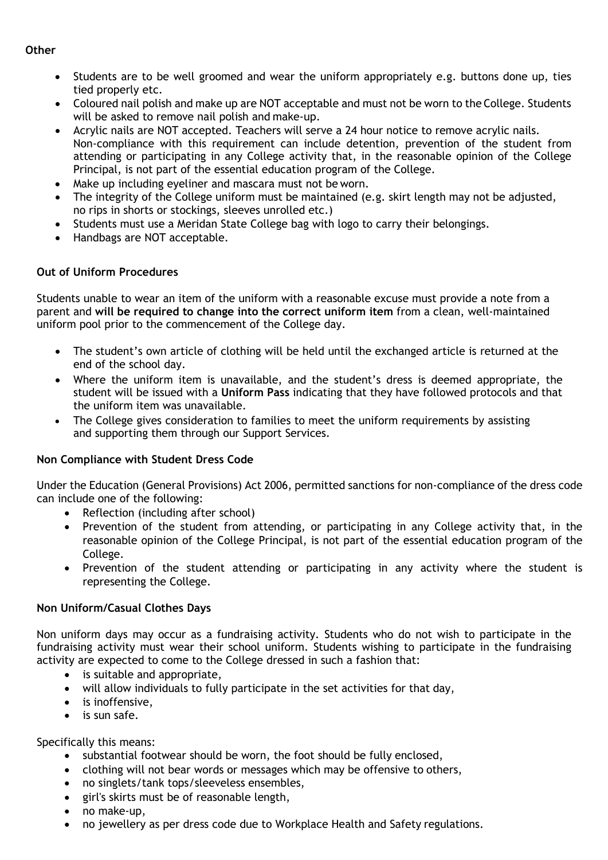### **Other**

- Students are to be well groomed and wear the uniform appropriately e.g. buttons done up, ties tied properly etc.
- Coloured nail polish and make up are NOT acceptable and must not be worn to the College. Students will be asked to remove nail polish and make-up.
- Acrylic nails are NOT accepted. Teachers will serve a 24 hour notice to remove acrylic nails. Non-compliance with this requirement can include detention, prevention of the student from attending or participating in any College activity that, in the reasonable opinion of the College Principal, is not part of the essential education program of the College.
- Make up including eyeliner and mascara must not be worn.
- The integrity of the College uniform must be maintained (e.g. skirt length may not be adjusted, no rips in shorts or stockings, sleeves unrolled etc.)
- Students must use a Meridan State College bag with logo to carry their belongings.
- Handbags are NOT acceptable.

## **Out of Uniform Procedures**

Students unable to wear an item of the uniform with a reasonable excuse must provide a note from a parent and **will be required to change into the correct uniform item** from a clean, well-maintained uniform pool prior to the commencement of the College day.

- The student's own article of clothing will be held until the exchanged article is returned at the end of the school day.
- Where the uniform item is unavailable, and the student's dress is deemed appropriate, the student will be issued with a **Uniform Pass** indicating that they have followed protocols and that the uniform item was unavailable.
- The College gives consideration to families to meet the uniform requirements by assisting and supporting them through our Support Services.

#### **Non Compliance with Student Dress Code**

Under the Education (General Provisions) Act 2006, permitted sanctions for non-compliance of the dress code can include one of the following:

- Reflection (including after school)
- Prevention of the student from attending, or participating in any College activity that, in the reasonable opinion of the College Principal, is not part of the essential education program of the College.
- Prevention of the student attending or participating in any activity where the student is representing the College.

#### **Non Uniform/Casual Clothes Days**

Non uniform days may occur as a fundraising activity. Students who do not wish to participate in the fundraising activity must wear their school uniform. Students wishing to participate in the fundraising activity are expected to come to the College dressed in such a fashion that:

- is suitable and appropriate,
- will allow individuals to fully participate in the set activities for that day,
- is inoffensive.
- is sun safe.

Specifically this means:

- substantial footwear should be worn, the foot should be fully enclosed,
- clothing will not bear words or messages which may be offensive to others,
- no singlets/tank tops/sleeveless ensembles,
- girl's skirts must be of reasonable length,
- no make-up,
- no jewellery as per dress code due to Workplace Health and Safety regulations.